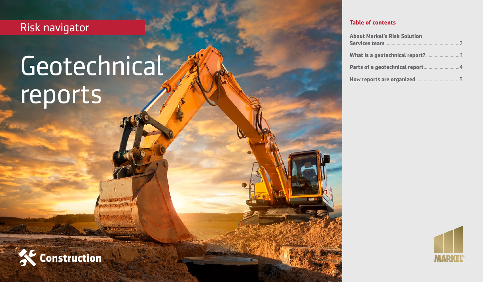Risk navigator

# Geotechnical reports

### **Table of contents**

| <b>About Markel's Risk Solution</b> |  |
|-------------------------------------|--|
|                                     |  |
| What is a geotechnical report?3     |  |
|                                     |  |
|                                     |  |



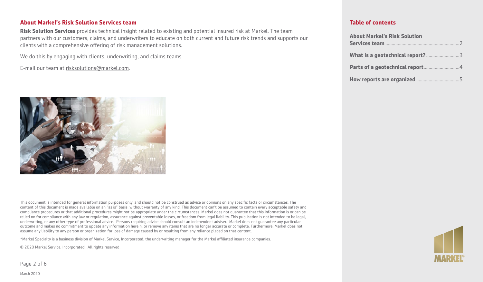### **About Markel's Risk Solution Services team**

**Risk Solution Services** provides technical insight related to existing and potential insured risk at Markel. The team partners with our customers, claims, and underwriters to educate on both current and future risk trends and supports our clients with a comprehensive offering of risk management solutions.

We do this by engaging with clients, underwriting, and claims teams.

E-mail our team at [risksolutions@markel.com](mailto:risksolutions@markel.com).



This document is intended for general information purposes only, and should not be construed as advice or opinions on any specific facts or circumstances. The content of this document is made available on an "as is" basis, without warranty of any kind. This document can't be assumed to contain every acceptable safety and compliance procedures or that additional procedures might not be appropriate under the circumstances. Markel does not guarantee that this information is or can be relied on for compliance with any law or regulation, assurance against preventable losses, or freedom from legal liability. This publication is not intended to be legal, underwriting, or any other type of professional advice. Persons requiring advice should consult an independent adviser. Markel does not guarantee any particular outcome and makes no commitment to update any information herein, or remove any items that are no longer accurate or complete. Furthermore, Markel does not assume any liability to any person or organization for loss of damage caused by or resulting from any reliance placed on that content.

\*Markel Specialty is a business division of Markel Service, Incorporated, the underwriting manager for the Markel affiliated insurance companies.

© 2020 Markel Service, Incorporated. All rights reserved.

Page 2 of 6

### **Table of contents**

| <b>About Markel's Risk Solution</b> |  |
|-------------------------------------|--|
|                                     |  |
|                                     |  |
|                                     |  |
|                                     |  |
|                                     |  |
|                                     |  |

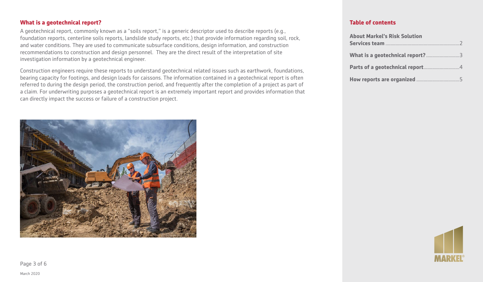### **What is a geotechnical report?**

A geotechnical report, commonly known as a "soils report," is a generic descriptor used to describe reports (e.g., foundation reports, centerline soils reports, landslide study reports, etc.) that provide information regarding soil, rock, and water conditions. They are used to communicate subsurface conditions, design information, and construction recommendations to construction and design personnel. They are the direct result of the interpretation of site investigation information by a geotechnical engineer.

Construction engineers require these reports to understand geotechnical related issues such as earthwork, foundations, bearing capacity for footings, and design loads for caissons. The information contained in a geotechnical report is often referred to during the design period, the construction period, and frequently after the completion of a project as part of a claim. For underwriting purposes a geotechnical report is an extremely important report and provides information that can directly impact the success or failure of a construction project.

### **Table of contents**

| <b>About Markel's Risk Solution</b> |
|-------------------------------------|
|                                     |
|                                     |
|                                     |
|                                     |





Page 3 of 6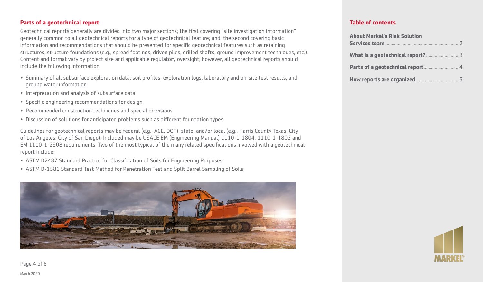March 2020

Page 4 of 6

### **Parts of a geotechnical report**

Geotechnical reports generally are divided into two major sections; the first covering "site investigation information" generally common to all geotechnical reports for a type of geotechnical feature; and, the second covering basic information and recommendations that should be presented for specific geotechnical features such as retaining structures, structure foundations (e.g., spread footings, driven piles, drilled shafts, ground improvement techniques, etc.). Content and format vary by project size and applicable regulatory oversight; however, all geotechnical reports should include the following information:

- Summary of all subsurface exploration data, soil profiles, exploration logs, laboratory and on-site test results, and ground water information
- Interpretation and analysis of subsurface data
- Specific engineering recommendations for design
- Recommended construction techniques and special provisions
- Discussion of solutions for anticipated problems such as different foundation types

Guidelines for geotechnical reports may be federal (e.g., ACE, DOT), state, and/or local (e.g., Harris County Texas, City of Los Angeles, City of San Diego). Included may be USACE EM (Engineering Manual) 1110-1-1804, 1110-1-1802 and EM 1110-1-2908 requirements. Two of the most typical of the many related specifications involved with a geotechnical report include:

- ASTM D2487 Standard Practice for Classification of Soils for Engineering Purposes
- ASTM D-1586 Standard Test Method for Penetration Test and Split Barrel Sampling of Soils



## **Table of contents**

| <b>About Markel's Risk Solution</b> |  |
|-------------------------------------|--|
|                                     |  |
|                                     |  |
|                                     |  |
|                                     |  |

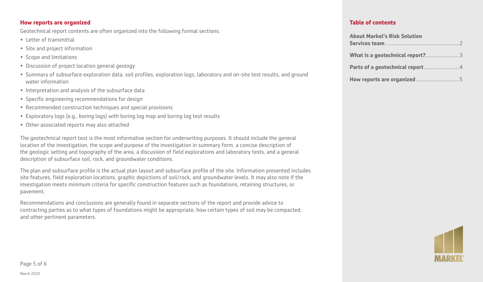### **How reports are organized**

Geotechnical report contents are often organized into the following formal sections:

- Letter of transmittal
- Site and project information
- Scope and limitations
- Discussion of project location general geology
- Summary of subsurface exploration data, soil profiles, exploration logs, laboratory and on-site test results, and ground water information
- Interpretation and analysis of the subsurface data
- Specific engineering recommendations for design
- Recommended construction techniques and special provisions
- Exploratory logs (e.g., boring logs) with boring log map and boring log test results
- Other associated reports may also attached

The geotechnical report text is the most informative section for underwriting purposes. It should include the general location of the investigation, the scope and purpose of the investigation in summary form, a concise description of the geologic setting and topography of the area, a discussion of field explorations and laboratory tests, and a general description of subsurface soil, rock, and groundwater conditions.

The plan and subsurface profile is the actual plan layout and subsurface profile of the site. Information presented includes site features, field exploration locations, graphic depictions of soil/rock, and groundwater levels. It may also note if the investigation meets minimum criteria for specific construction features such as foundations, retaining structures, or pavement.

Recommendations and conclusions are generally found in separate sections of the report and provide advice to contracting parties as to what types of foundations might be appropriate, how certain types of soil may be compacted, and other pertinent parameters.

### **Table of contents**

| <b>About Markel's Risk Solution</b> |
|-------------------------------------|
|                                     |
|                                     |
|                                     |
|                                     |



Page 5 of 6